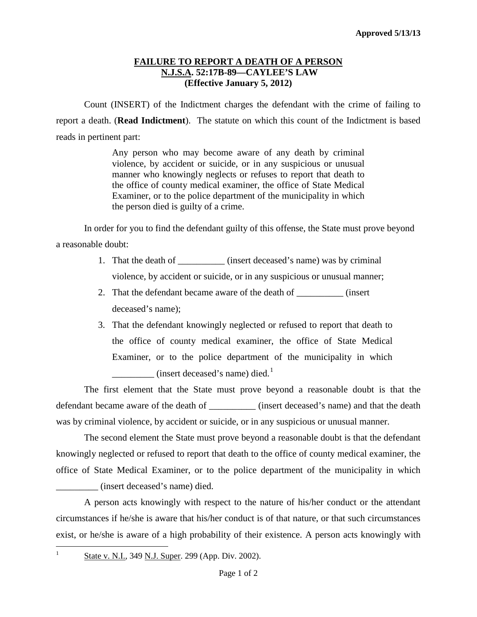## **FAILURE TO REPORT A DEATH OF A PERSON N.J.S.A. 52:17B-89—CAYLEE'S LAW (Effective January 5, 2012)**

Count (INSERT) of the Indictment charges the defendant with the crime of failing to report a death. (**Read Indictment**). The statute on which this count of the Indictment is based reads in pertinent part:

> Any person who may become aware of any death by criminal violence, by accident or suicide, or in any suspicious or unusual manner who knowingly neglects or refuses to report that death to the office of county medical examiner, the office of State Medical Examiner, or to the police department of the municipality in which the person died is guilty of a crime.

In order for you to find the defendant guilty of this offense, the State must prove beyond a reasonable doubt:

- 1. That the death of  $(insert$  deceased's name) was by criminal violence, by accident or suicide, or in any suspicious or unusual manner;
- 2. That the defendant became aware of the death of  $(insert$ deceased's name);
- 3. That the defendant knowingly neglected or refused to report that death to the office of county medical examiner, the office of State Medical Examiner, or to the police department of the municipality in which **EXECUTE:** (insert deceased's name) died.<sup>[1](#page-0-0)</sup>

The first element that the State must prove beyond a reasonable doubt is that the defendant became aware of the death of \_\_\_\_\_\_\_\_\_\_\_ (insert deceased's name) and that the death was by criminal violence, by accident or suicide, or in any suspicious or unusual manner.

The second element the State must prove beyond a reasonable doubt is that the defendant knowingly neglected or refused to report that death to the office of county medical examiner, the office of State Medical Examiner, or to the police department of the municipality in which \_\_\_\_\_\_\_\_\_ (insert deceased's name) died.

A person acts knowingly with respect to the nature of his/her conduct or the attendant circumstances if he/she is aware that his/her conduct is of that nature, or that such circumstances exist, or he/she is aware of a high probability of their existence. A person acts knowingly with

 $\frac{1}{1}$ 

<span id="page-0-0"></span><sup>&</sup>lt;sup>1</sup> State v. N.I., 349 N.J. Super. 299 (App. Div. 2002).